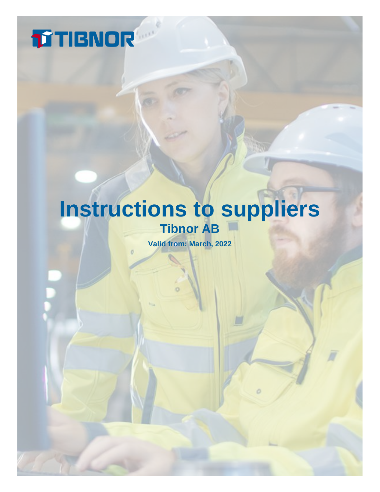

# **Instructions to suppliers Tibnor AB**

**Valid from: March, 2022**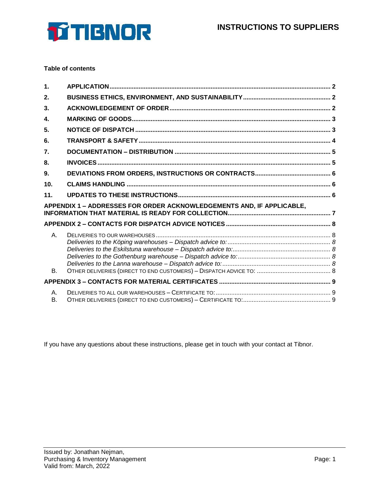

#### **Table of contents**

| 1.             |                                                                       |  |
|----------------|-----------------------------------------------------------------------|--|
| 2.             |                                                                       |  |
| 3.             |                                                                       |  |
| 4.             |                                                                       |  |
| 5.             |                                                                       |  |
| 6.             |                                                                       |  |
| 7.             |                                                                       |  |
| 8.             |                                                                       |  |
| 9 <sub>1</sub> |                                                                       |  |
| 10.            |                                                                       |  |
| 11.            |                                                                       |  |
|                | APPENDIX 1 - ADDRESSES FOR ORDER ACKNOWLEDGEMENTS AND, IF APPLICABLE, |  |
|                |                                                                       |  |
| Α.<br>Β.       |                                                                       |  |
|                |                                                                       |  |
| Α.<br>В.       |                                                                       |  |

If you have any questions about these instructions, please get in touch with your contact at Tibnor.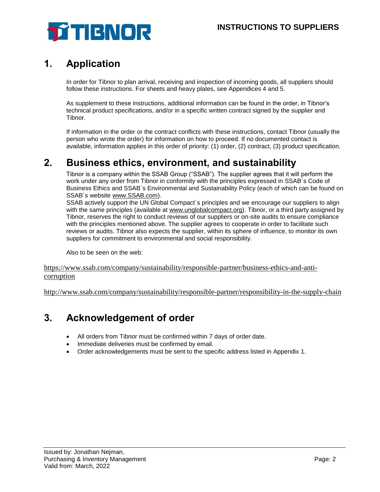

# <span id="page-2-0"></span>**1. Application**

In order for Tibnor to plan arrival, receiving and inspection of incoming goods, all suppliers should follow these instructions. For sheets and heavy plates, see Appendices 4 and 5.

As supplement to these instructions, additional information can be found in the order, in Tibnor's technical product specifications, and/or in a specific written contract signed by the supplier and Tibnor.

If information in the order or the contract conflicts with these instructions, contact Tibnor (usually the person who wrote the order) for information on how to proceed. If no documented contact is available, information applies in this order of priority: (1) order, (2) contract, (3) product specification.

### <span id="page-2-1"></span>**2. Business ethics, environment, and sustainability**

Tibnor is a company within the SSAB Group ("SSAB"). The supplier agrees that it will perform the work under any order from Tibnor in conformity with the principles expressed in SSAB´s Code of Business Ethics and SSAB´s Environmental and Sustainability Policy (each of which can be found on SSAB´s website [www.SSAB.com\)](http://www.ssab.com/).

SSAB actively support the UN Global Compact´s principles and we encourage our suppliers to align with the same principles (available at [www.unglobalcompact.org\)](http://www.unglobalcompact.org/). Tibnor, or a third party assigned by Tibnor, reserves the right to conduct reviews of our suppliers or on-site audits to ensure compliance with the principles mentioned above. The supplier agrees to cooperate in order to facilitate such reviews or audits. Tibnor also expects the supplier, within its sphere of influence, to monitor its own suppliers for commitment to environmental and social responsibility.

Also to be seen on the web:

[https://www.ssab.com/company/sustainability/responsible-partner/business-ethics-and-anti](https://www.ssab.com/company/sustainability/responsible-partner/business-ethics-and-anti-corruption)[corruption](https://www.ssab.com/company/sustainability/responsible-partner/business-ethics-and-anti-corruption)

<http://www.ssab.com/company/sustainability/responsible-partner/responsibility-in-the-supply-chain>

### <span id="page-2-2"></span>**3. Acknowledgement of order**

- All orders from Tibnor must be confirmed within 7 days of order date.
- Immediate deliveries must be confirmed by email.
- Order acknowledgements must be sent to the specific address listed in Appendix 1.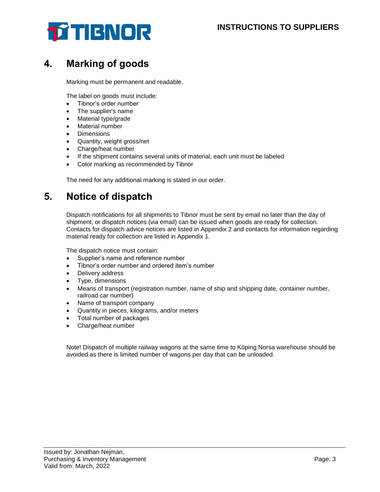

# <span id="page-3-0"></span>**4. Marking of goods**

Marking must be permanent and readable.

The label on goods must include:

- Tibnor's order number
- The supplier's name
- Material type/grade
- Material number
- **Dimensions**
- Quantity, weight gross/net
- Charge/heat number
- If the shipment contains several units of material, each unit must be labeled
- Color marking as recommended by Tibnor

The need for any additional marking is stated in our order.

### <span id="page-3-1"></span>**5. Notice of dispatch**

Dispatch notifications for all shipments to Tibnor must be sent by email no later than the day of shipment, or dispatch notices (via email) can be issued when goods are ready for collection. Contacts for dispatch advice notices are listed in Appendix 2 and contacts for information regarding material ready for collection are listed in Appendix 1.

The dispatch notice must contain:

- Supplier's name and reference number
- Tibnor's order number and ordered item's number
- Delivery address
- Type, dimensions
- Means of transport (registration number, name of ship and shipping date, container number, railroad car number)
- Name of transport company
- Quantity in pieces, kilograms, and/or meters
- Total number of packages
- Charge/heat number

Note! Dispatch of multiple railway wagons at the same time to Köping Norsa warehouse should be avoided as there is limited number of wagons per day that can be unloaded.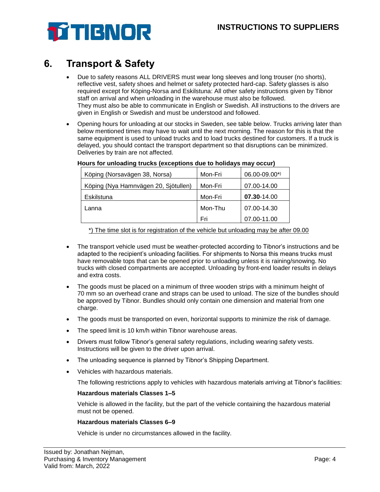

# <span id="page-4-0"></span>**6. Transport & Safety**

- Due to safety reasons ALL DRIVERS must wear long sleeves and long trouser (no shorts), reflective vest, safety shoes and helmet or safety protected hard-cap. Safety glasses is also required except for Köping-Norsa and Eskilstuna: All other safety instructions given by Tibnor staff on arrival and when unloading in the warehouse must also be followed. They must also be able to communicate in English or Swedish. All instructions to the drivers are given in English or Swedish and must be understood and followed.
- Opening hours for unloading at our stocks in Sweden, see table below. Trucks arriving later than below mentioned times may have to wait until the next morning. The reason for this is that the same equipment is used to unload trucks and to load trucks destined for customers. If a truck is delayed, you should contact the transport department so that disruptions can be minimized. Deliveries by train are not affected.

| Köping (Norsavägen 38, Norsa)        | Mon-Fri | $06.00 - 09.00$ <sup>*</sup> |
|--------------------------------------|---------|------------------------------|
| Köping (Nya Hamnvägen 20, Sjötullen) | Mon-Fri | 07.00-14.00                  |
| Eskilstuna                           | Mon-Fri | 07.30-14.00                  |
| Lanna                                | Mon-Thu | 07.00-14.30                  |
|                                      | Fri     | 07.00-11.00                  |

#### **Hours for unloading trucks (exceptions due to holidays may occur)**

\*) The time slot is for registration of the vehicle but unloading may be after 09.00

- The transport vehicle used must be weather-protected according to Tibnor's instructions and be adapted to the recipient's unloading facilities. For shipments to Norsa this means trucks must have removable tops that can be opened prior to unloading unless it is raining/snowing. No trucks with closed compartments are accepted. Unloading by front-end loader results in delays and extra costs.
- The goods must be placed on a minimum of three wooden strips with a minimum height of 70 mm so an overhead crane and straps can be used to unload. The size of the bundles should be approved by Tibnor. Bundles should only contain one dimension and material from one charge.
- The goods must be transported on even, horizontal supports to minimize the risk of damage.
- The speed limit is 10 km/h within Tibnor warehouse areas.
- Drivers must follow Tibnor's general safety regulations, including wearing safety vests. Instructions will be given to the driver upon arrival.
- The unloading sequence is planned by Tibnor's Shipping Department.
- Vehicles with hazardous materials.

The following restrictions apply to vehicles with hazardous materials arriving at Tibnor's facilities:

#### **Hazardous materials Classes 1–5**

Vehicle is allowed in the facility, but the part of the vehicle containing the hazardous material must not be opened.

#### **Hazardous materials Classes 6–9**

Vehicle is under no circumstances allowed in the facility.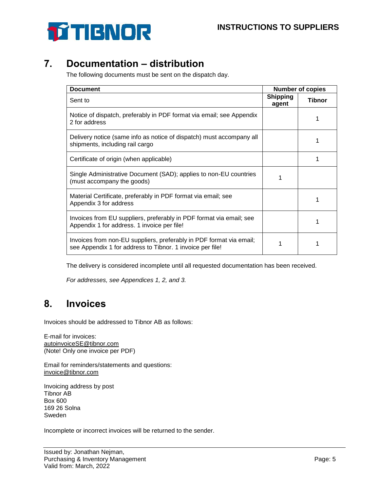

# <span id="page-5-0"></span>**7. Documentation – distribution**

The following documents must be sent on the dispatch day.

| <b>Document</b>                                                                                                                  |                          | Number of copies |  |
|----------------------------------------------------------------------------------------------------------------------------------|--------------------------|------------------|--|
| Sent to                                                                                                                          | <b>Shipping</b><br>agent | <b>Tibnor</b>    |  |
| Notice of dispatch, preferably in PDF format via email; see Appendix<br>2 for address                                            |                          |                  |  |
| Delivery notice (same info as notice of dispatch) must accompany all<br>shipments, including rail cargo                          |                          |                  |  |
| Certificate of origin (when applicable)                                                                                          |                          |                  |  |
| Single Administrative Document (SAD); applies to non-EU countries<br>(must accompany the goods)                                  |                          |                  |  |
| Material Certificate, preferably in PDF format via email; see<br>Appendix 3 for address                                          |                          |                  |  |
| Invoices from EU suppliers, preferably in PDF format via email; see<br>Appendix 1 for address. 1 invoice per file!               |                          |                  |  |
| Invoices from non-EU suppliers, preferably in PDF format via email;<br>see Appendix 1 for address to Tibnor. 1 invoice per file! |                          |                  |  |

The delivery is considered incomplete until all requested documentation has been received.

*For addresses, see Appendices 1, 2, and 3.*

### <span id="page-5-1"></span>**8. Invoices**

Invoices should be addressed to Tibnor AB as follows:

E-mail for invoices: [autoinvoiceSE@tibnor.com](mailto:autoinvoiceSE@tibnor.com) (Note! Only one invoice per PDF)

Email for reminders/statements and questions: [invoice@tibnor.com](mailto:invoice@tibnor.com)

Invoicing address by post Tibnor AB Box 600 169 26 Solna Sweden

Incomplete or incorrect invoices will be returned to the sender.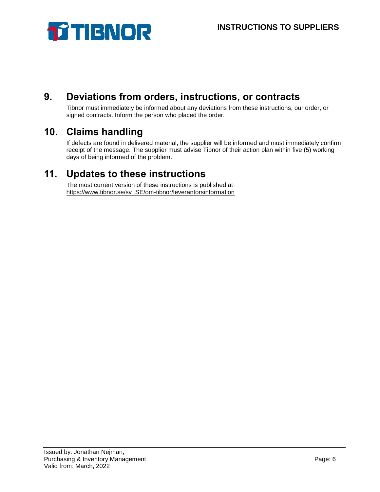

# **9. Deviations from orders, instructions, or contracts**

Tibnor must immediately be informed about any deviations from these instructions, our order, or signed contracts. Inform the person who placed the order.

## <span id="page-6-0"></span>**10. Claims handling**

If defects are found in delivered material, the supplier will be informed and must immediately confirm receipt of the message. The supplier must advise Tibnor of their action plan within five (5) working days of being informed of the problem.

## <span id="page-6-1"></span>**11. Updates to these instructions**

The most current version of these instructions is published at [https://www.tibnor.se/sv\\_SE/om-tibnor/leverantorsinformation](https://www.tibnor.se/sv_SE/om-tibnor/leverantorsinformation)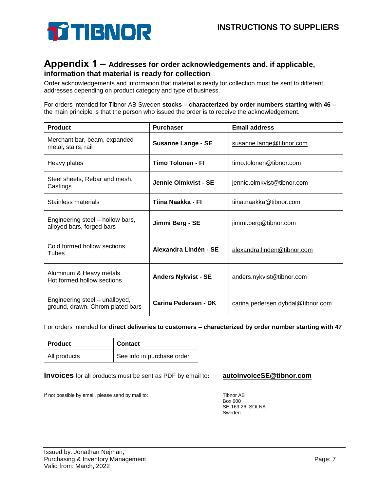

#### <span id="page-7-0"></span>**Appendix 1 – Addresses for order acknowledgements and, if applicable, information that material is ready for collection**

Order acknowledgements and information that material is ready for collection must be sent to different addresses depending on product category and type of business.

For orders intended for Tibnor AB Sweden **stocks – characterized by order numbers starting with 46 –** the main principle is that the person who issued the order is to receive the acknowledgement.

| <b>Product</b>                                                     | <b>Purchaser</b>            | <b>Email address</b>              |
|--------------------------------------------------------------------|-----------------------------|-----------------------------------|
| Merchant bar, beam, expanded<br>metal, stairs, rail                | <b>Susanne Lange - SE</b>   | susanne.lange@tibnor.com          |
| Heavy plates                                                       | Timo Tolonen - Fl           | timo.tolonen@tibnor.com           |
| Steel sheets, Rebar and mesh,<br>Castings                          | Jennie Olmkvist - SE        | jennie.olmkvist@tibnor.com        |
| Stainless materials                                                | Tiina Naakka - Fl           | tiina.naakka@tibnor.com           |
| Engineering steel - hollow bars,<br>alloyed bars, forged bars      | Jimmi Berg - SE             | jimmi.berg@tibnor.com             |
| Cold formed hollow sections<br>Tubes                               | Alexandra Lindén - SE       | alexandra.linden@tibnor.com       |
| Aluminum & Heavy metals<br>Hot formed hollow sections              | <b>Anders Nykvist - SE</b>  | anders.nykvist@tibnor.com         |
| Engineering steel - unalloyed,<br>ground, drawn. Chrom plated bars | <b>Carina Pedersen - DK</b> | carina.pedersen.dybdal@tibnor.com |

For orders intended for **direct deliveries to customers – characterized by order number starting with 47**

| <b>Product</b> | <b>Contact</b>             |
|----------------|----------------------------|
| All products   | See info in purchase order |

**Invoices** for all products must be sent as PDF by email to**: [autoinvoiceSE@tibnor.com](mailto:autoinvoiceSE@tibnor.com)**

If not possible by email, please send by mail to: Tibnor AB

Box 600 SE-169 26 SOLNA Sweden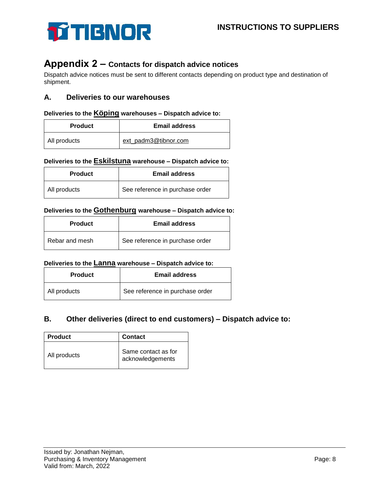

### <span id="page-8-0"></span>**Appendix 2 – Contacts for dispatch advice notices**

Dispatch advice notices must be sent to different contacts depending on product type and destination of shipment.

#### <span id="page-8-1"></span>**A. Deliveries to our warehouses**

#### <span id="page-8-2"></span>**Deliveries to the Köping warehouses – Dispatch advice to:**

| <b>Product</b> | <b>Email address</b> |
|----------------|----------------------|
| All products   | ext padm3@tibnor.com |

#### <span id="page-8-3"></span>**Deliveries to the Eskilstuna warehouse – Dispatch advice to:**

| <b>Product</b> | <b>Email address</b>            |
|----------------|---------------------------------|
| All products   | See reference in purchase order |

#### <span id="page-8-4"></span>**Deliveries to the Gothenburg warehouse – Dispatch advice to:**

| <b>Product</b> | <b>Email address</b>            |
|----------------|---------------------------------|
| Rebar and mesh | See reference in purchase order |

#### <span id="page-8-5"></span>**Deliveries to the Lanna warehouse – Dispatch advice to:**

| <b>Product</b> | <b>Email address</b>            |
|----------------|---------------------------------|
| All products   | See reference in purchase order |

### **B. Other deliveries (direct to end customers) – Dispatch advice to:**

| <b>Product</b> | <b>Contact</b>                          |
|----------------|-----------------------------------------|
| All products   | Same contact as for<br>acknowledgements |